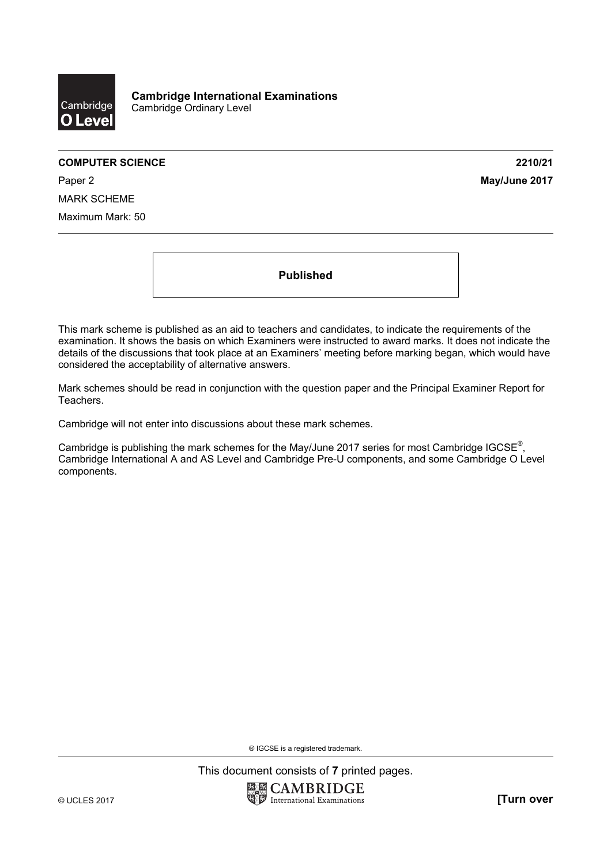

Paper 2 **May/June 2017** MARK SCHEME Maximum Mark: 50

**Published** 

This mark scheme is published as an aid to teachers and candidates, to indicate the requirements of the examination. It shows the basis on which Examiners were instructed to award marks. It does not indicate the details of the discussions that took place at an Examiners' meeting before marking began, which would have considered the acceptability of alternative answers.

Mark schemes should be read in conjunction with the question paper and the Principal Examiner Report for Teachers.

Cambridge will not enter into discussions about these mark schemes.

Cambridge is publishing the mark schemes for the May/June 2017 series for most Cambridge IGCSE<sup>®</sup>, Cambridge International A and AS Level and Cambridge Pre-U components, and some Cambridge O Level components.

® IGCSE is a registered trademark.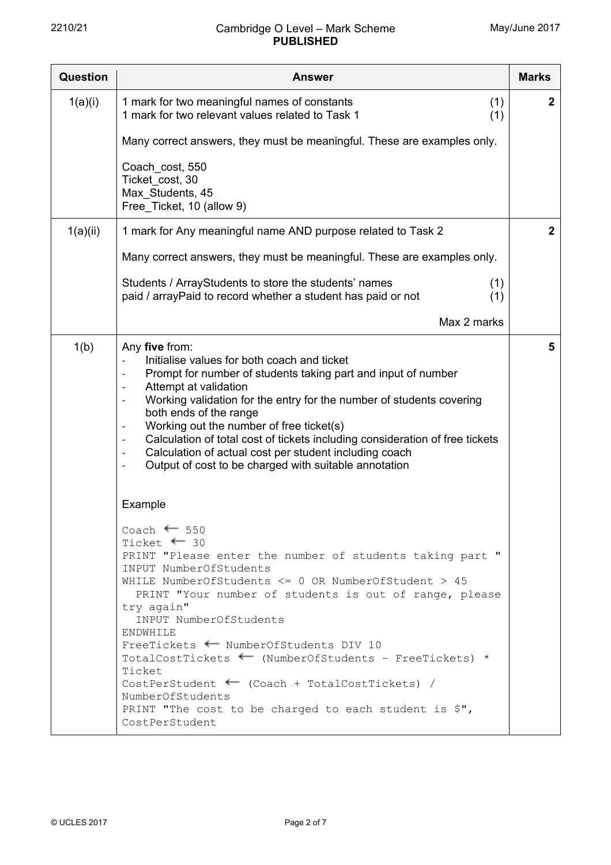| <b>Question</b> | <b>Answer</b>                                                                                                                                                                                                                                                                                                                                                                                                                                                                                                                                                                                           | <b>Marks</b> |
|-----------------|---------------------------------------------------------------------------------------------------------------------------------------------------------------------------------------------------------------------------------------------------------------------------------------------------------------------------------------------------------------------------------------------------------------------------------------------------------------------------------------------------------------------------------------------------------------------------------------------------------|--------------|
| 1(a)(i)         | 1 mark for two meaningful names of constants<br>(1)<br>1 mark for two relevant values related to Task 1<br>(1)                                                                                                                                                                                                                                                                                                                                                                                                                                                                                          | $\mathbf{2}$ |
|                 | Many correct answers, they must be meaningful. These are examples only.                                                                                                                                                                                                                                                                                                                                                                                                                                                                                                                                 |              |
|                 | Coach_cost, 550<br>Ticket_cost, 30<br>Max_Students, 45<br>Free_Ticket, 10 (allow 9)                                                                                                                                                                                                                                                                                                                                                                                                                                                                                                                     |              |
| 1(a)(ii)        | 1 mark for Any meaningful name AND purpose related to Task 2                                                                                                                                                                                                                                                                                                                                                                                                                                                                                                                                            | $\mathbf{2}$ |
|                 | Many correct answers, they must be meaningful. These are examples only.                                                                                                                                                                                                                                                                                                                                                                                                                                                                                                                                 |              |
|                 | Students / ArrayStudents to store the students' names<br>(1)<br>paid / arrayPaid to record whether a student has paid or not<br>(1)                                                                                                                                                                                                                                                                                                                                                                                                                                                                     |              |
|                 | Max 2 marks                                                                                                                                                                                                                                                                                                                                                                                                                                                                                                                                                                                             |              |
| 1(b)            | Any five from:<br>Initialise values for both coach and ticket<br>Prompt for number of students taking part and input of number<br>Attempt at validation<br>Working validation for the entry for the number of students covering<br>both ends of the range<br>Working out the number of free ticket(s)<br>$\overline{a}$<br>Calculation of total cost of tickets including consideration of free tickets<br>Calculation of actual cost per student including coach<br>$\qquad \qquad -$<br>Output of cost to be charged with suitable annotation                                                         | 5            |
|                 | Example                                                                                                                                                                                                                                                                                                                                                                                                                                                                                                                                                                                                 |              |
|                 | Coach $\leftarrow$ 550<br>Ticket $\leftarrow$ 30<br>PRINT "Please enter the number of students taking part "<br>INPUT NumberOfStudents<br>WHILE NumberOfStudents $\leq$ 0 OR NumberOfStudent > 45<br>PRINT "Your number of students is out of range, please<br>try again"<br>INPUT NumberOfStudents<br>ENDWHILE<br>FreeTickets + NumberOfStudents DIV 10<br>TotalCostTickets $\leftarrow$ (NumberOfStudents - FreeTickets) *<br>Ticket<br>CostPerStudent $\leftarrow$ (Coach + TotalCostTickets) /<br>NumberOfStudents<br>PRINT "The cost to be charged to each student is $\zeta$ ",<br>CostPerStudent |              |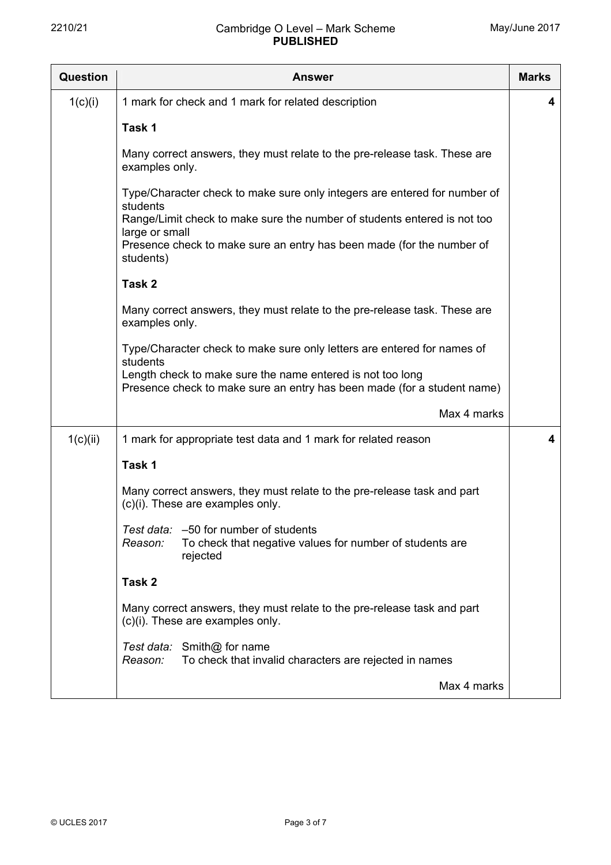| <b>Question</b> | <b>Answer</b>                                                                                                                                                     |   |  |  |  |  |
|-----------------|-------------------------------------------------------------------------------------------------------------------------------------------------------------------|---|--|--|--|--|
| 1(c)(i)         | 1 mark for check and 1 mark for related description                                                                                                               | 4 |  |  |  |  |
|                 | Task 1                                                                                                                                                            |   |  |  |  |  |
|                 | Many correct answers, they must relate to the pre-release task. These are<br>examples only.                                                                       |   |  |  |  |  |
|                 | Type/Character check to make sure only integers are entered for number of<br>students<br>Range/Limit check to make sure the number of students entered is not too |   |  |  |  |  |
|                 | large or small<br>Presence check to make sure an entry has been made (for the number of<br>students)                                                              |   |  |  |  |  |
|                 | Task 2                                                                                                                                                            |   |  |  |  |  |
|                 | Many correct answers, they must relate to the pre-release task. These are<br>examples only.                                                                       |   |  |  |  |  |
|                 | Type/Character check to make sure only letters are entered for names of<br>students                                                                               |   |  |  |  |  |
|                 | Length check to make sure the name entered is not too long<br>Presence check to make sure an entry has been made (for a student name)                             |   |  |  |  |  |
|                 | Max 4 marks                                                                                                                                                       |   |  |  |  |  |
| 1(c)(ii)        | 1 mark for appropriate test data and 1 mark for related reason                                                                                                    | 4 |  |  |  |  |
|                 | Task 1                                                                                                                                                            |   |  |  |  |  |
|                 | Many correct answers, they must relate to the pre-release task and part<br>(c)(i). These are examples only.                                                       |   |  |  |  |  |
|                 | Test data: - 50 for number of students<br>To check that negative values for number of students are<br>Reason:<br>rejected                                         |   |  |  |  |  |
|                 | Task 2                                                                                                                                                            |   |  |  |  |  |
|                 | Many correct answers, they must relate to the pre-release task and part<br>(c)(i). These are examples only.                                                       |   |  |  |  |  |
|                 | Test data: Smith@ for name<br>Reason:<br>To check that invalid characters are rejected in names                                                                   |   |  |  |  |  |
|                 | Max 4 marks                                                                                                                                                       |   |  |  |  |  |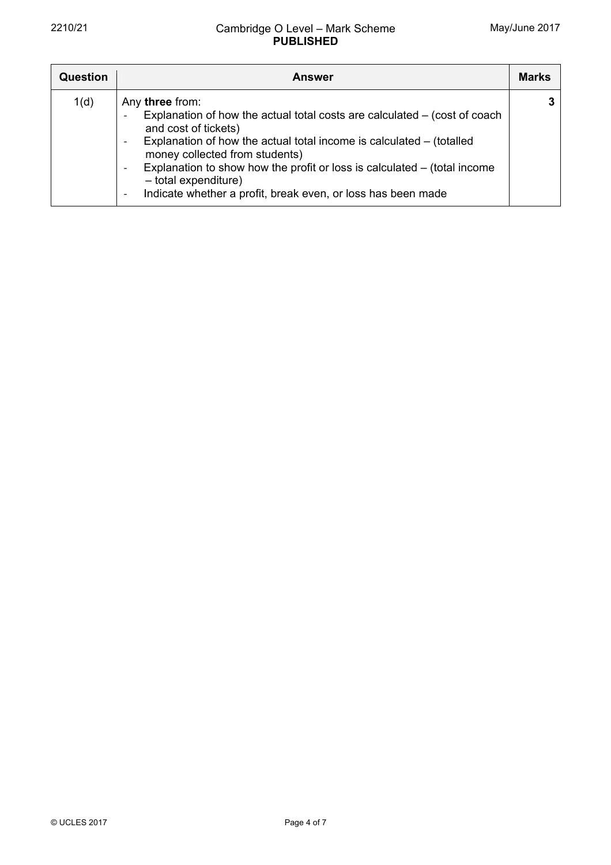| Question | <b>Answer</b>                                                                                                                                                                                                                                                                                                                                                                                                                                                         | <b>Marks</b> |
|----------|-----------------------------------------------------------------------------------------------------------------------------------------------------------------------------------------------------------------------------------------------------------------------------------------------------------------------------------------------------------------------------------------------------------------------------------------------------------------------|--------------|
| 1(d)     | Any three from:<br>Explanation of how the actual total costs are calculated $-$ (cost of coach<br>and cost of tickets)<br>Explanation of how the actual total income is calculated $-$ (totalled<br>$\overline{\phantom{a}}$<br>money collected from students)<br>Explanation to show how the profit or loss is calculated $-$ (total income<br>$\overline{\phantom{a}}$<br>- total expenditure)<br>Indicate whether a profit, break even, or loss has been made<br>- |              |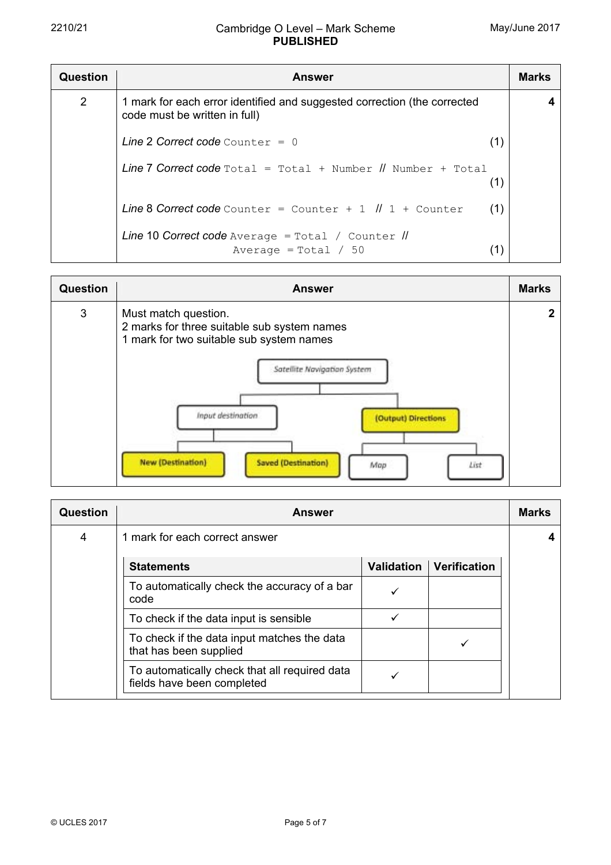| Question       | <b>Answer</b>                                                                                             |  |  |  |  |
|----------------|-----------------------------------------------------------------------------------------------------------|--|--|--|--|
| $\overline{2}$ | 1 mark for each error identified and suggested correction (the corrected<br>code must be written in full) |  |  |  |  |
|                | Line 2 Correct code Counter = $0$<br>(1)                                                                  |  |  |  |  |
|                | <b>Line 7 Correct code</b> $Total = Total + Number II$ Number + $Total$<br>(1)                            |  |  |  |  |
|                | Line 8 Correct code Counter = Counter + $1$ $\parallel$ 1 + Counter<br>(1)                                |  |  |  |  |
|                | Line 10 Correct code Average = Total / Counter //<br>Average = $Total / 50$<br>(1)                        |  |  |  |  |

| <b>Question</b> | <b>Answer</b>                                                                                                                                                                                                                                                       | <b>Marks</b> |
|-----------------|---------------------------------------------------------------------------------------------------------------------------------------------------------------------------------------------------------------------------------------------------------------------|--------------|
| 3               | Must match question.<br>2 marks for three suitable sub system names<br>1 mark for two suitable sub system names<br>Satellite Navigation System<br>Input destination<br>(Output) Directions<br><b>New (Destination)</b><br><b>Saved (Destination)</b><br>List<br>Map | 2            |

| Question | <b>Answer</b>                                                               |                   |                     |  |  |  |  |
|----------|-----------------------------------------------------------------------------|-------------------|---------------------|--|--|--|--|
| 4        | 1 mark for each correct answer                                              |                   |                     |  |  |  |  |
|          | <b>Statements</b>                                                           | <b>Validation</b> | <b>Verification</b> |  |  |  |  |
|          | To automatically check the accuracy of a bar<br>code                        |                   |                     |  |  |  |  |
|          | To check if the data input is sensible                                      | ✓                 |                     |  |  |  |  |
|          | To check if the data input matches the data<br>that has been supplied       |                   |                     |  |  |  |  |
|          | To automatically check that all required data<br>fields have been completed |                   |                     |  |  |  |  |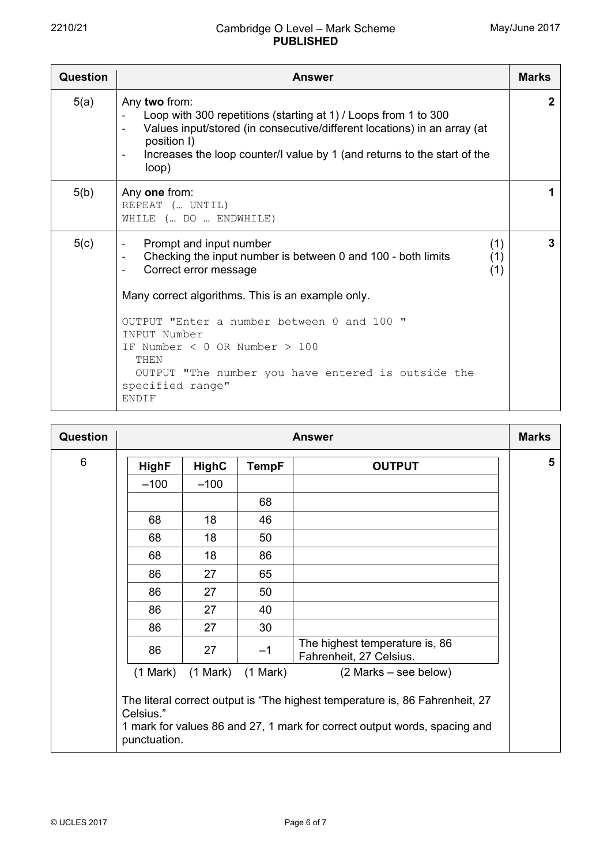| <b>Question</b> | <b>Answer</b>                                                                                                                                                                                                                                                                                                            | <b>Marks</b> |  |  |
|-----------------|--------------------------------------------------------------------------------------------------------------------------------------------------------------------------------------------------------------------------------------------------------------------------------------------------------------------------|--------------|--|--|
| 5(a)            | Any two from:<br>Loop with 300 repetitions (starting at 1) / Loops from 1 to 300<br>Values input/stored (in consecutive/different locations) in an array (at<br>$\overline{\phantom{a}}$<br>position I)<br>Increases the loop counter/I value by 1 (and returns to the start of the<br>$\overline{\phantom{a}}$<br>loop) |              |  |  |
| 5(b)            | Any one from:<br>REPEAT ( UNTIL)<br>WHILE ( DO  ENDWHILE)                                                                                                                                                                                                                                                                | 1            |  |  |
| 5(c)            | Prompt and input number<br>(1)<br>Checking the input number is between 0 and 100 - both limits<br>(1)<br>$\overline{\phantom{a}}$<br>Correct error message<br>(1)                                                                                                                                                        | 3            |  |  |
|                 | Many correct algorithms. This is an example only.                                                                                                                                                                                                                                                                        |              |  |  |
|                 | OUTPUT "Enter a number between 0 and 100"<br><b>TNPUT Number</b><br>IF Number $<$ 0 OR Number $>$ 100<br>THEN                                                                                                                                                                                                            |              |  |  |
|                 | OUTPUT "The number you have entered is outside the<br>specified range"<br><b>ENDIF</b>                                                                                                                                                                                                                                   |              |  |  |

| <b>Question</b> | <b>Answer</b>             |                                  |              |                                                                                                                                                           | <b>Marks</b> |
|-----------------|---------------------------|----------------------------------|--------------|-----------------------------------------------------------------------------------------------------------------------------------------------------------|--------------|
| 6               | <b>HighF</b>              | <b>HighC</b>                     | <b>TempF</b> | <b>OUTPUT</b>                                                                                                                                             | 5            |
|                 | $-100$                    | $-100$                           |              |                                                                                                                                                           |              |
|                 |                           |                                  | 68           |                                                                                                                                                           |              |
|                 | 68                        | 18                               | 46           |                                                                                                                                                           |              |
|                 | 68                        | 18                               | 50           |                                                                                                                                                           |              |
|                 | 68                        | 18                               | 86           |                                                                                                                                                           |              |
|                 | 86                        | 27                               | 65           |                                                                                                                                                           |              |
|                 | 86                        | 27                               | 50           |                                                                                                                                                           |              |
|                 | 86                        | 27                               | 40           |                                                                                                                                                           |              |
|                 | 86                        | 27                               | 30           |                                                                                                                                                           |              |
|                 | 86                        | 27                               | $-1$         | The highest temperature is, 86<br>Fahrenheit, 27 Celsius.                                                                                                 |              |
|                 |                           | $(1 Mark)$ $(1 Mark)$ $(1 Mark)$ |              | $(2 Marks - see below)$                                                                                                                                   |              |
|                 | Celsius."<br>punctuation. |                                  |              | The literal correct output is "The highest temperature is, 86 Fahrenheit, 27<br>1 mark for values 86 and 27, 1 mark for correct output words, spacing and |              |